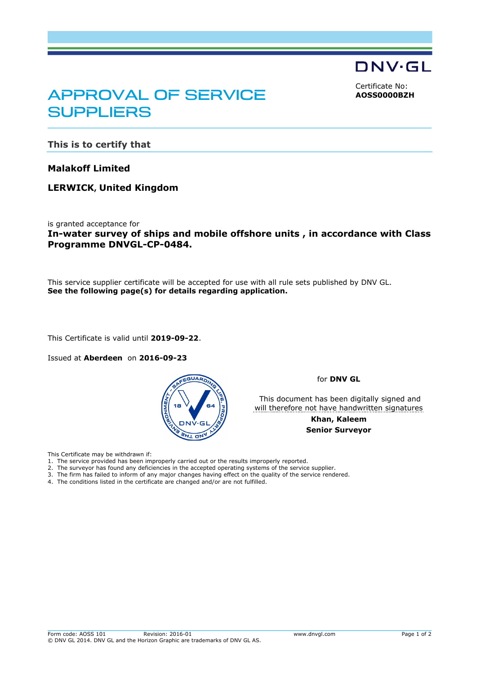DNV·GL

<span id="page-0-0"></span>Certificate No: **AOSS0000BZH**

## APPROVAL OF SERVICE **SUPPLIERS**

**This is to certify that**

**Malakoff Limited**

**LERWICK, United Kingdom**

is granted acceptance for **In-water survey of ships and mobile offshore units , in accordance with Class Programme DNVGL-CP-0484.**

This service supplier certificate will be accepted for use with all rule sets published by DNV GL. **See the following page(s) for details regarding application.**

This Certificate is valid until **2019-09-22**.

Issued at **Aberdeen** on **2016-09-23**



for **DNV GL**

This document has been digitally signed and will therefore not have handwritten signatures

> **Khan, Kaleem Senior Surveyor**

This Certificate may be withdrawn if:

- 1. The service provided has been improperly carried out or the results improperly reported.
- 2. The surveyor has found any deficiencies in the accepted operating systems of the service supplier.
- 3. The firm has failed to inform of any major changes having effect on the quality of the service rendered. 4. The conditions listed in the certificate are changed and/or are not fulfilled.